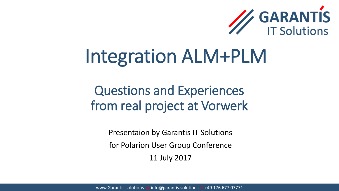

# Integration ALM+PLM

### Questions and Experiences from real project at Vorwerk

Presentaion by Garantis IT Solutions for Polarion User Group Conference 11 July 2017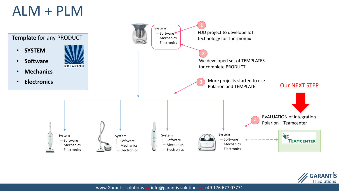## ALM + PLM



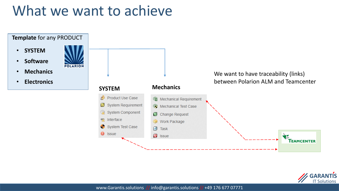## What we want to achieve



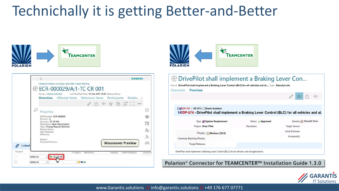# Technichally it is getting Better-and-Better



同





| Name: DrivePilot shall implement a Braking Lever Control (BLC) for all vehicles and al Type: Remote Link<br>Preview<br>Overview |                                 |                   |                          |    |   |
|---------------------------------------------------------------------------------------------------------------------------------|---------------------------------|-------------------|--------------------------|----|---|
|                                                                                                                                 |                                 |                   |                          | rħ | H |
| OD DP 415 DP 573   Break Assistant                                                                                              |                                 |                   |                          |    |   |
| t®DP-574 - DrivePilot shall implement a Braking Lever Control (BLC) for all vehicles and al.                                    |                                 |                   |                          |    |   |
| Type: System Requirement<br>Project: Drive Pilot                                                                                | Status: Approved<br>Resolution: | Target Version:   | Severity (+) Should Have |    |   |
| "Priority: [-] Medium [50.0]                                                                                                    |                                 | Initial Estimate: |                          |    |   |
| Common Backlog Priority:                                                                                                        |                                 | Assignee(s):      |                          |    |   |

Polarion<sup>®</sup> Connector for TEAMCENTER™ Installation Guide 1.3.0

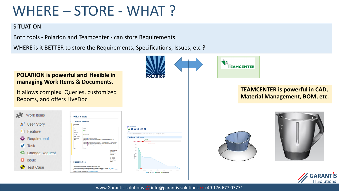# WHERE – STORE - WHAT ?

#### SITUATION:

Both tools - Polarion and Teamcenter - can store Requirements.

WHERE is it BETTER to store the Requirements, Specifications, Issues, etc ?

#### **POLARION is powerful and flexible in managing Work Items & Documents.**

It allows complex Queries, customized Reports, and offers LiveDoc

| <b>Work Items</b>     | 018 Contacts                                                                                                                                                                                                                                                                                                                                                                                                                                                |                                                                                                       |                                                                                                                                       |
|-----------------------|-------------------------------------------------------------------------------------------------------------------------------------------------------------------------------------------------------------------------------------------------------------------------------------------------------------------------------------------------------------------------------------------------------------------------------------------------------------|-------------------------------------------------------------------------------------------------------|---------------------------------------------------------------------------------------------------------------------------------------|
| User Story            | 1 Feature Workitem<br>018 Contacts                                                                                                                                                                                                                                                                                                                                                                                                                          |                                                                                                       | <b>All III</b> - Build Environment                                                                                                    |
| Feature               | TM-22827<br>m<br><b>Status</b><br>& Open<br>Resolution                                                                                                                                                                                                                                                                                                                                                                                                      |                                                                                                       | <b>III</b> BE sprint_w39-40<br>t.                                                                                                     |
|                       | Alledum [50.0]<br>Priority<br><b>Target Version</b>                                                                                                                                                                                                                                                                                                                                                                                                         |                                                                                                       | Date (start-end) IRRESSEE (SISTEMS) Curret Week today:   Plan Description: Week: \$dateWeekOfYear<br><b>Plan Status - In Progress</b> |
| Requirement           | is related to: # TM-24850 - Contact Data<br><b>Linked Work</b><br>is related to: (FTM-23845 - Contact menu is filed from contact database based on the GUI<br><b>Hems</b><br>language<br>is related to: EFTM-23846 - Contact menu is sorted by corresponding sort key in contact database<br>is related to: (FTM-23847 - Contact dialog is filled with contact data read from contact database<br>is related to: (2 TM-23848 - Layout of the contact dialog |                                                                                                       | <b>Bone: Jtd.</b><br>15d 6h To Do<br><b>Med Progress: 14 St.</b><br>399                                                               |
| <b>Task</b>           | <b>Feature</b><br>Type                                                                                                                                                                                                                                                                                                                                                                                                                                      |                                                                                                       | 175                                                                                                                                   |
| <b>Change Request</b> |                                                                                                                                                                                                                                                                                                                                                                                                                                                             | 1 Feature Workitem<br>2 Specification<br>2.1 Requirements<br>2.2 Design<br>3 Testing<br>3.1 Testcases | 150<br>125<br>$+ 100$                                                                                                                 |
| <b>Issue</b>          | 2 Specification                                                                                                                                                                                                                                                                                                                                                                                                                                             | 3.2 Test runs<br>3.3 Test Results<br>4 Reviews                                                        | $\mathbb{N}$<br>50                                                                                                                    |
| <b>Test Case</b>      | The Thermonix provides contact data for all markets the Thermonix is sold in.<br>The list of available contact data can be accessed from the settings menu as defined in > TN-16056 - 004 Settings.<br>The country list (menu) and the corresponding contact data for each country is filed dynamically based on the contact data that is<br>available in the contact database described in database documentation.                                         | $\pm$<br><b>START</b><br><b>START</b><br>$-1$<br><b>START</b>                                         |                                                                                                                                       |
|                       |                                                                                                                                                                                                                                                                                                                                                                                                                                                             |                                                                                                       | M Ideal Work To Do M Work To Do M Relative Progr                                                                                      |





#### **TEAMCENTER is powerful in CAD, Material Management, BOM, etc.**





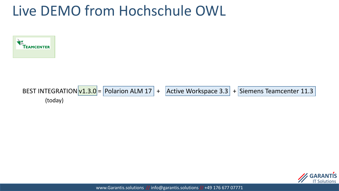## Live DEMO from Hochschule OWL



**BEST INTEGRATION** 
$$
v1.3.0
$$
 =  $Polarion ALM 17$  +  $Active Workspace 3.3$  +  $Siemens Teamcenter 11.3$  (today)